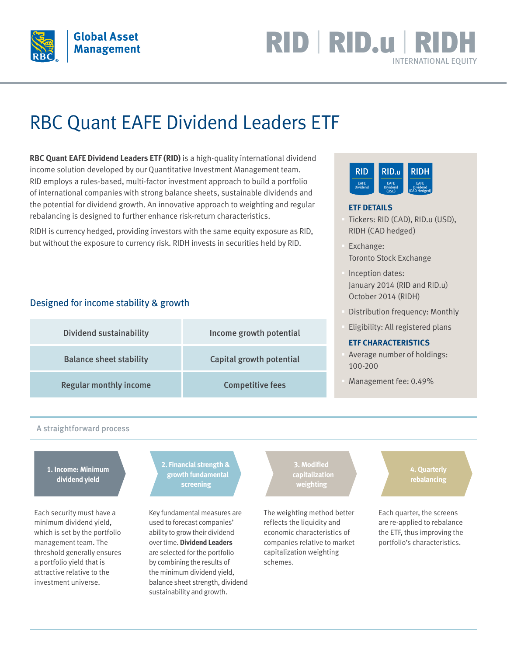

## RID | RID.u | RIL INTERNATIONAL EQUITY

# RBC Quant EAFE Dividend Leaders ETF

**RBC Quant EAFE Dividend Leaders ETF (RID)** is a high-quality international dividend income solution developed by our Quantitative Investment Management team. RID employs a rules-based, multi-factor investment approach to build a portfolio of international companies with strong balance sheets, sustainable dividends and the potential for dividend growth. An innovative approach to weighting and regular rebalancing is designed to further enhance risk-return characteristics.

RIDH is currency hedged, providing investors with the same equity exposure as RID, but without the exposure to currency risk. RIDH invests in securities held by RID.

#### Designed for income stability & growth

| <b>Dividend sustainability</b> | Income growth potential  |
|--------------------------------|--------------------------|
| <b>Balance sheet stability</b> | Capital growth potential |
| <b>Regular monthly income</b>  | <b>Competitive fees</b>  |



#### **ETF DETAILS**

- § Tickers: RID (CAD), RID.u (USD), RIDH (CAD hedged)
- § Exchange: Toronto Stock Exchange
- § Inception dates: January 2014 (RID and RID.u) October 2014 (RIDH)
- § Distribution frequency: Monthly
- § Eligibility: All registered plans

#### **ETF CHARACTERISTICS**

- Average number of holdings: 100-200
- § Management fee: 0.49%

#### A straightforward process

#### **1. Income: Minimum dividend yield**

Each security must have a minimum dividend yield, which is set by the portfolio management team. The threshold generally ensures a portfolio yield that is attractive relative to the investment universe.

**2. Financial strength & growth fundamental screening**

Key fundamental measures are used to forecast companies' ability to grow their dividend over time. **Dividend Leaders** are selected for the portfolio by combining the results of the minimum dividend yield, balance sheet strength, dividend sustainability and growth.

**capitalization weighting**

The weighting method better reflects the liquidity and economic characteristics of companies relative to market capitalization weighting schemes.

**4. Quarterly rebalancing**

Each quarter, the screens are re-applied to rebalance the ETF, thus improving the portfolio's characteristics.